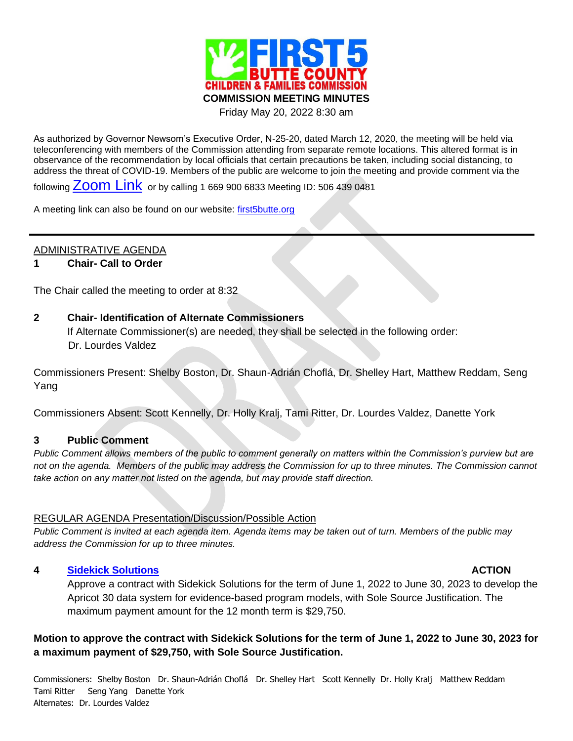

Friday May 20, 2022 8:30 am

As authorized by Governor Newsom's Executive Order, N-25-20, dated March 12, 2020, the meeting will be held via teleconferencing with members of the Commission attending from separate remote locations. This altered format is in observance of the recommendation by local officials that certain precautions be taken, including social distancing, to address the threat of COVID-19. Members of the public are welcome to join the meeting and provide comment via the

following **[Zoom Link](https://us02web.zoom.us/j/5064390481)** or by calling 1 669 900 6833 Meeting ID: 506 439 0481

A meeting link can also be found on our website: [first5butte.org](http://first5butte.org/)

# ADMINISTRATIVE AGENDA

## **1 Chair- Call to Order**

The Chair called the meeting to order at 8:32

## **2 Chair- Identification of Alternate Commissioners**

If Alternate Commissioner(s) are needed, they shall be selected in the following order: Dr. Lourdes Valdez

Commissioners Present: Shelby Boston, Dr. Shaun-Adrián Choflá, Dr. Shelley Hart, Matthew Reddam, Seng Yang

Commissioners Absent: Scott Kennelly, Dr. Holly Kralj, Tami Ritter, Dr. Lourdes Valdez, Danette York

### **3 Public Comment**

*Public Comment allows members of the public to comment generally on matters within the Commission's purview but are not on the agenda. Members of the public may address the Commission for up to three minutes. The Commission cannot take action on any matter not listed on the agenda, but may provide staff direction.*

### REGULAR AGENDA Presentation/Discussion/Possible Action

*Public Comment is invited at each agenda item. Agenda items may be taken out of turn. Members of the public may address the Commission for up to three minutes.*

## **4 [Sidekick Solutions](https://first5butte.org/assets/Meetings/Agendas/commission/2022-05-20/Item-4-Sidekick-Solutions.pdf) ACTION**

Approve a contract with Sidekick Solutions for the term of June 1, 2022 to June 30, 2023 to develop the Apricot 30 data system for evidence-based program models, with Sole Source Justification. The maximum payment amount for the 12 month term is \$29,750.

# **Motion to approve the contract with Sidekick Solutions for the term of June 1, 2022 to June 30, 2023 for a maximum payment of \$29,750, with Sole Source Justification.**

Commissioners: Shelby Boston Dr. Shaun-Adrián Choflá Dr. Shelley Hart Scott Kennelly Dr. Holly Kralj Matthew Reddam Tami Ritter Seng Yang Danette York Alternates: Dr. Lourdes Valdez